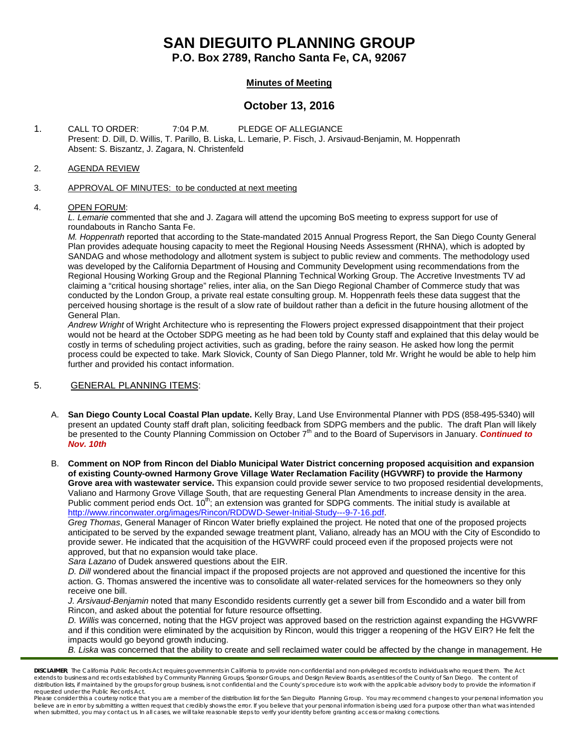# **SAN DIEGUITO PLANNING GROUP**

**P.O. Box 2789, Rancho Santa Fe, CA, 92067**

## **Minutes of Meeting**

# **October 13, 2016**

1. CALL TO ORDER: 7:04 P.M. PLEDGE OF ALLEGIANCE Present: D. Dill, D. Willis, T. Parillo, B. Liska, L. Lemarie, P. Fisch, J. Arsivaud-Benjamin, M. Hoppenrath Absent: S. Biszantz, J. Zagara, N. Christenfeld

#### 2. AGENDA REVIEW

#### 3. APPROVAL OF MINUTES: to be conducted at next meeting

#### 4. OPEN FORUM:

*L. Lemarie* commented that she and J. Zagara will attend the upcoming BoS meeting to express support for use of roundabouts in Rancho Santa Fe.

*M. Hoppenrath* reported that according to the State-mandated 2015 Annual Progress Report, the San Diego County General Plan provides adequate housing capacity to meet the Regional Housing Needs Assessment (RHNA), which is adopted by SANDAG and whose methodology and allotment system is subject to public review and comments. The methodology used was developed by the California Department of Housing and Community Development using recommendations from the Regional Housing Working Group and the Regional Planning Technical Working Group. The Accretive Investments TV ad claiming a "critical housing shortage" relies, inter alia, on the San Diego Regional Chamber of Commerce study that was conducted by the London Group, a private real estate consulting group. M. Hoppenrath feels these data suggest that the perceived housing shortage is the result of a slow rate of buildout rather than a deficit in the future housing allotment of the General Plan.

*Andrew Wright* of Wright Architecture who is representing the Flowers project expressed disappointment that their project would not be heard at the October SDPG meeting as he had been told by County staff and explained that this delay would be costly in terms of scheduling project activities, such as grading, before the rainy season. He asked how long the permit process could be expected to take. Mark Slovick, County of San Diego Planner, told Mr. Wright he would be able to help him further and provided his contact information.

#### 5. GENERAL PLANNING ITEMS:

- A. **San Diego County Local Coastal Plan update.** Kelly Bray, Land Use Environmental Planner with PDS (858-495-5340) will present an updated County staff draft plan, soliciting feedback from SDPG members and the public. The draft Plan will likely be presented to the County Planning Commission on October 7th and to the Board of Supervisors in January. *Continued to Nov. 10th*
- B. **Comment on NOP from Rincon del Diablo Municipal Water District concerning proposed acquisition and expansion of existing County-owned Harmony Grove Village Water Reclamation Facility (HGVWRF) to provide the Harmony Grove area with wastewater service.** This expansion could provide sewer service to two proposed residential developments, Valiano and Harmony Grove Village South, that are requesting General Plan Amendments to increase density in the area. Public comment period ends Oct. 10<sup>th</sup>; an extension was granted for SDPG comments. The initial study is available at [http://www.rinconwater.org/images/Rincon/RDDWD-Sewer-Initial-Study---9-7-16.pdf.](http://www.rinconwater.org/images/Rincon/RDDWD-Sewer-Initial-Study---9-7-16.pdf)

*Greg Thomas*, General Manager of Rincon Water briefly explained the project. He noted that one of the proposed projects anticipated to be served by the expanded sewage treatment plant, Valiano, already has an MOU with the City of Escondido to provide sewer. He indicated that the acquisition of the HGVWRF could proceed even if the proposed projects were not approved, but that no expansion would take place.

*Sara Lazano* of Dudek answered questions about the EIR.

*D. Dill* wondered about the financial impact if the proposed projects are not approved and questioned the incentive for this action. G. Thomas answered the incentive was to consolidate all water-related services for the homeowners so they only receive one bill.

*J. Arsivaud-Benjamin* noted that many Escondido residents currently get a sewer bill from Escondido and a water bill from Rincon, and asked about the potential for future resource offsetting.

*D. Willis* was concerned, noting that the HGV project was approved based on the restriction against expanding the HGVWRF and if this condition were eliminated by the acquisition by Rincon, would this trigger a reopening of the HGV EIR? He felt the impacts would go beyond growth inducing.

*B. Liska* was concerned that the ability to create and sell reclaimed water could be affected by the change in management. He

*DISCLAIMER; The California Public Records Act requires governments in California to provide non-confidential and non-privileged records to individuals who request them. The Act*  extends to business and records established by Community Planning Groups, Sponsor Groups, and Design Review Boards, as entities of the County of San Diego. The content of *distribution lists, if maintained by the groups for group business, is not confidential and the County's procedure is to work with the applicable advisory body to provide the information if requested under the Public Records Act.*

Please consider this a courtesy notice that you are a member of the distribution list for the San Dieguito Planning Group. You may recommend changes to your personal information you believe are in error by submitting a written request that credibly shows the error. If you believe that your personal information is being used for a purpose other than what was intended<br>when submitted, you may contact us.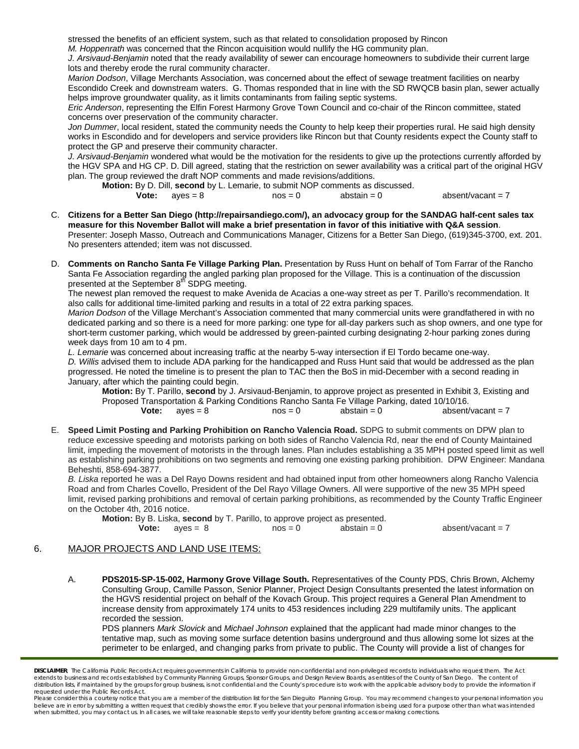stressed the benefits of an efficient system, such as that related to consolidation proposed by Rincon

*M. Hoppenrath* was concerned that the Rincon acquisition would nullify the HG community plan.

*J. Arsivaud-Benjamin* noted that the ready availability of sewer can encourage homeowners to subdivide their current large lots and thereby erode the rural community character.

*Marion Dodson*, Village Merchants Association, was concerned about the effect of sewage treatment facilities on nearby Escondido Creek and downstream waters. G. Thomas responded that in line with the SD RWQCB basin plan, sewer actually helps improve groundwater quality, as it limits contaminants from failing septic systems.

*Eric Anderson*, representing the Elfin Forest Harmony Grove Town Council and co-chair of the Rincon committee, stated concerns over preservation of the community character.

Jon Dummer, local resident, stated the community needs the County to help keep their properties rural. He said high density works in Escondido and for developers and service providers like Rincon but that County residents expect the County staff to protect the GP and preserve their community character.

*J. Arsivaud-Benjamin* wondered what would be the motivation for the residents to give up the protections currently afforded by the HGV SPA and HG CP. D. Dill agreed, stating that the restriction on sewer availability was a critical part of the original HGV plan. The group reviewed the draft NOP comments and made revisions/additions.

**Motion:** By D. Dill, **second** by L. Lemarie, to submit NOP comments as discussed.<br> **Vote:** aves = 8 nos = 0 abstain = 0

| te: | aves = $8$ | $nos = 0$ | abstain $= 0$ | absent/vacant = $7$ |
|-----|------------|-----------|---------------|---------------------|
|     |            |           |               |                     |

- C. **Citizens for a Better San Diego [\(http://repairsandiego.com/\)](http://repairsandiego.com/), an advocacy group for the SANDAG half-cent sales tax measure for this November Ballot will make a brief presentation in favor of this initiative with Q&A session**. Presenter: Joseph Masso, Outreach and Communications Manager, Citizens for a Better San Diego, [\(619\)345-3700, ext. 201.](tel:%28619%29345-3700%2C%20ext.%20201) No presenters attended; item was not discussed.
- D. **Comments on Rancho Santa Fe Village Parking Plan.** Presentation by Russ Hunt on behalf of Tom Farrar of the Rancho Santa Fe Association regarding the angled parking plan proposed for the Village. This is a continuation of the discussion presented at the September 8<sup>th</sup> SDPG meeting.

The newest plan removed the request to make Avenida de Acacias a one-way street as per T. Parillo's recommendation. It also calls for additional time-limited parking and results in a total of 22 extra parking spaces.

*Marion Dodson* of the Village Merchant's Association commented that many commercial units were grandfathered in with no dedicated parking and so there is a need for more parking: one type for all-day parkers such as shop owners, and one type for short-term customer parking, which would be addressed by green-painted curbing designating 2-hour parking zones during week days from 10 am to 4 pm.

*L. Lemarie* was concerned about increasing traffic at the nearby 5-way intersection if El Tordo became one-way. *D. Willis* advised them to include ADA parking for the handicapped and Russ Hunt said that would be addressed as the plan progressed. He noted the timeline is to present the plan to TAC then the BoS in mid-December with a second reading in January, after which the painting could begin.

**Motion:** By T. Parillo, **second** by J. Arsivaud-Benjamin, to approve project as presented in Exhibit 3, Existing and Proposed Transportation & Parking Conditions Rancho Santa Fe Village Parking, dated 10/10/16.<br>Vote: ayes = 8 nos = 0 abstain = 0 absent/  $\alpha$ yes = 8  $\alpha$  nos = 0  $\alpha$  abstain = 0  $\alpha$  absent/vacant = 7

E. **Speed Limit Posting and Parking Prohibition on Rancho Valencia Road.** SDPG to submit comments on DPW plan to reduce excessive speeding and motorists parking on both sides of Rancho Valencia Rd, near the end of County Maintained limit, impeding the movement of motorists in the through lanes. Plan includes establishing a 35 MPH posted speed limit as well as establishing parking prohibitions on two segments and removing one existing parking prohibition. DPW Engineer: Mandana Beheshti, [858-694-3877.](tel:858-694-3877)

*B. Liska* reported he was a Del Rayo Downs resident and had obtained input from other homeowners along Rancho Valencia Road and from Charles Covello, President of the Del Rayo Village Owners. All were supportive of the new 35 MPH speed limit, revised parking prohibitions and removal of certain parking prohibitions, as recommended by the County Traffic Engineer on the October 4th, 2016 notice.

| <b>Motion:</b> By B. Liska, <b>second</b> by T. Parillo, to approve project as presented. |           |               |                     |  |  |  |
|-------------------------------------------------------------------------------------------|-----------|---------------|---------------------|--|--|--|
| <b>Vote:</b> $aves = 8$                                                                   | $nos = 0$ | abstain $= 0$ | absent/vacant = $7$ |  |  |  |

#### 6. MAJOR PROJECTS AND LAND USE ITEMS:

A. **PDS2015-SP-15-002, Harmony Grove Village South.** Representatives of the County PDS, Chris Brown, Alchemy Consulting Group, Camille Passon, Senior Planner, Project Design Consultants presented the latest information on the HGVS residential project on behalf of the Kovach Group. This project requires a General Plan Amendment to increase density from approximately 174 units to 453 residences including 229 multifamily units. The applicant recorded the session.

PDS planners *Mark Slovick* and *Michael Johnson* explained that the applicant had made minor changes to the tentative map, such as moving some surface detention basins underground and thus allowing some lot sizes at the perimeter to be enlarged, and changing parks from private to public. The County will provide a list of changes for

*DISCLAIMER; The California Public Records Act requires governments in California to provide non-confidential and non-privileged records to individuals who request them. The Act*  extends to business and records established by Community Planning Groups, Sponsor Groups, and Design Review Boards, as entities of the County of San Diego. The content of distribution lists, if maintained by the groups for group business, is not confidential and the County's procedure is to work with the applicable advisory body to provide the information if *requested under the Public Records Act.*

Please consider this a courtesy notice that you are a member of the distribution list for the San Dieguito Planning Group. You may recommend changes to your personal information you believe are in error by submitting a written request that credibly shows the error. If you believe that your personal information is being used for a purpose other than what was intended<br>when submitted, you may contact us.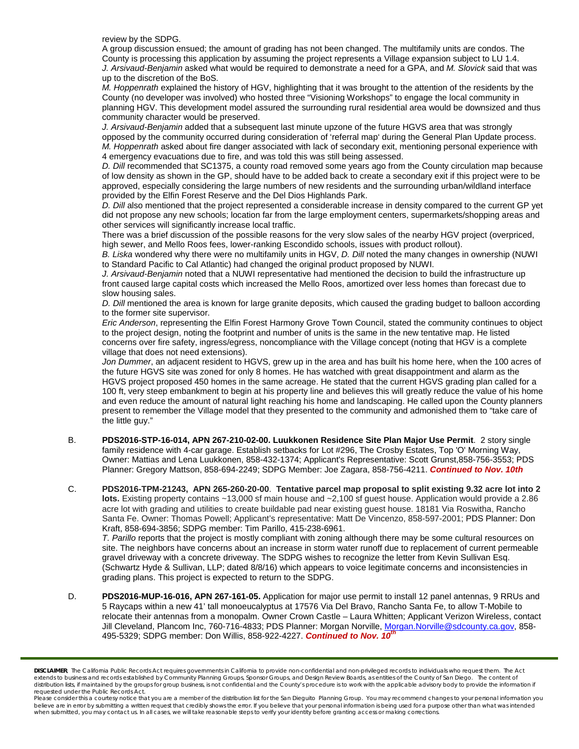review by the SDPG.

A group discussion ensued; the amount of grading has not been changed. The multifamily units are condos. The County is processing this application by assuming the project represents a Village expansion subject to LU 1.4. *J. Arsivaud-Benjamin* asked what would be required to demonstrate a need for a GPA, and *M. Slovick* said that was up to the discretion of the BoS.

*M. Hoppenrath* explained the history of HGV, highlighting that it was brought to the attention of the residents by the County (no developer was involved) who hosted three "Visioning Workshops" to engage the local community in planning HGV. This development model assured the surrounding rural residential area would be downsized and thus community character would be preserved.

*J. Arsivaud-Benjamin* added that a subsequent last minute upzone of the future HGVS area that was strongly opposed by the community occurred during consideration of 'referral map' during the General Plan Update process. *M. Hoppenrath* asked about fire danger associated with lack of secondary exit, mentioning personal experience with 4 emergency evacuations due to fire, and was told this was still being assessed.

*D. Dill* recommended that SC1375, a county road removed some years ago from the County circulation map because of low density as shown in the GP, should have to be added back to create a secondary exit if this project were to be approved, especially considering the large numbers of new residents and the surrounding urban/wildland interface provided by the Elfin Forest Reserve and the Del Dios Highlands Park.

*D. Dill* also mentioned that the project represented a considerable increase in density compared to the current GP yet did not propose any new schools; location far from the large employment centers, supermarkets/shopping areas and other services will significantly increase local traffic.

There was a brief discussion of the possible reasons for the very slow sales of the nearby HGV project (overpriced, high sewer, and Mello Roos fees, lower-ranking Escondido schools, issues with product rollout).

*B. Liska* wondered why there were no multifamily units in HGV, *D. Dill* noted the many changes in ownership (NUWI to Standard Pacific to Cal Atlantic) had changed the original product proposed by NUWI.

*J. Arsivaud-Benjamin* noted that a NUWI representative had mentioned the decision to build the infrastructure up front caused large capital costs which increased the Mello Roos, amortized over less homes than forecast due to slow housing sales.

*D. Dill* mentioned the area is known for large granite deposits, which caused the grading budget to balloon according to the former site supervisor.

*Eric Anderson*, representing the Elfin Forest Harmony Grove Town Council, stated the community continues to object to the project design, noting the footprint and number of units is the same in the new tentative map. He listed concerns over fire safety, ingress/egress, noncompliance with the Village concept (noting that HGV is a complete village that does not need extensions).

*Jon Dummer*, an adjacent resident to HGVS, grew up in the area and has built his home here, when the 100 acres of the future HGVS site was zoned for only 8 homes. He has watched with great disappointment and alarm as the HGVS project proposed 450 homes in the same acreage. He stated that the current HGVS grading plan called for a 100 ft, very steep embankment to begin at his property line and believes this will greatly reduce the value of his home and even reduce the amount of natural light reaching his home and landscaping. He called upon the County planners present to remember the Village model that they presented to the community and admonished them to "take care of the little guy."

- B. **PDS2016-STP-16-014, APN 267-210-02-00. Luukkonen Residence Site Plan Major Use Permit**. 2 story single family residence with 4-car garage. Establish setbacks for Lot #296, The Crosby Estates, Top 'O' Morning Way, Owner: Mattias and Lena Luukkonen, [858-432-1374;](tel:858-432-1374) Applicant's Representative: Scott Grunst[,858-756-3553;](tel:858-756-3553) PDS Planner: Gregory Mattson, [858-694-2249;](tel:858-694-2249) SDPG Member: Joe Zagara, [858-756-4211.](tel:858-756-4211) *Continued to Nov. 10th*
- C. **PDS2016-TPM-21243, APN 265-260-20-00**. **Tentative parcel map proposal to split existing 9.32 acre lot into 2 lots.** Existing property contains ~13,000 sf main house and ~2,100 sf guest house. Application would provide a 2.86 acre lot with grading and utilities to create buildable pad near existing guest house. 18181 Via Roswitha, Rancho Santa Fe. Owner: Thomas Powell; Applicant's representative: Matt De Vincenzo, 858-597-2001; PDS Planner: Don Kraft, 858-694-3856; SDPG member: Tim Parillo, [415-238-6961.](tel:415-238-6961)

*T. Parillo* reports that the project is mostly compliant with zoning although there may be some cultural resources on site. The neighbors have concerns about an increase in storm water runoff due to replacement of current permeable gravel driveway with a concrete driveway. The SDPG wishes to recognize the letter from Kevin Sullivan Esq. (Schwartz Hyde & Sullivan, LLP; dated 8/8/16) which appears to voice legitimate concerns and inconsistencies in grading plans. This project is expected to return to the SDPG.

D. **PDS2016-MUP-16-016, APN 267-161-05.** Application for major use permit to install 12 panel antennas, 9 RRUs and 5 Raycaps within a new 41' tall monoeucalyptus at 17576 Via Del Bravo, Rancho Santa Fe, to allow T-Mobile to relocate their antennas from a monopalm. Owner Crown Castle – Laura Whitten; Applicant Verizon Wireless, contact Jill Cleveland, Plancom Inc, 760-716-4833; PDS Planner: Morgan Norville[, Morgan.Norville@sdcounty.ca.gov,](mailto:Morgan.Norville@sdcounty.ca.gov) 858- 495-5329; SDPG member: Don Willis, 858-922-4227. *Continued to Nov. 10th*

*DISCLAIMER; The California Public Records Act requires governments in California to provide non-confidential and non-privileged records to individuals who request them. The Act*  extends to business and records established by Community Planning Groups, Sponsor Groups, and Design Review Boards, as entities of the County of San Diego. The content of *distribution lists, if maintained by the groups for group business, is not confidential and the County's procedure is to work with the applicable advisory body to provide the information if requested under the Public Records Act.*

Please consider this a courtesy notice that you are a member of the distribution list for the San Dieguito Planning Group. You may recommend changes to your personal information you believe are in error by submitting a written request that credibly shows the error. If you believe that your personal information is being used for a purpose other than what was intended<br>when submitted, you may contact us.